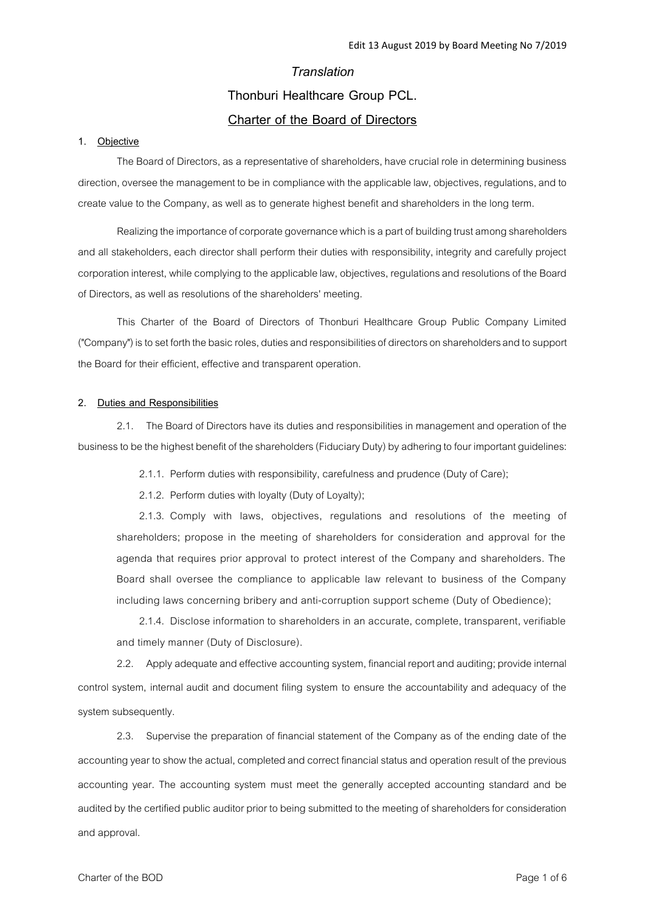## *Translation*

# **Thonburi Healthcare Group PCL.**

# **Charter of the Board of Directors**

### **1. Objective**

The Board of Directors, as a representative of shareholders, have crucial role in determining business direction, oversee the management to be in compliance with the applicable law, objectives, regulations, and to create value to the Company, as well as to generate highest benefit and shareholders in the long term.

Realizing the importance of corporate governance which is a part of building trust among shareholders and all stakeholders, each director shall perform their duties with responsibility, integrity and carefully project corporation interest, while complying to the applicable law, objectives, regulations and resolutions of the Board of Directors, as well as resolutions of the shareholders' meeting.

This Charter of the Board of Directors of Thonburi Healthcare Group Public Company Limited ("Company") is to set forth the basic roles, duties and responsibilities of directors on shareholders and to support the Board for their efficient, effective and transparent operation.

#### **2. Duties and Responsibilities**

2.1. The Board of Directors have its duties and responsibilities in management and operation of the business to be the highest benefit of the shareholders (Fiduciary Duty) by adhering to four important guidelines:

2.1.1. Perform duties with responsibility, carefulness and prudence (Duty of Care);

2.1.2. Perform duties with loyalty (Duty of Loyalty);

2.1.3. Comply with laws, objectives, regulations and resolutions of the meeting of shareholders; propose in the meeting of shareholders for consideration and approval for the agenda that requires prior approval to protect interest of the Company and shareholders. The Board shall oversee the compliance to applicable law relevant to business of the Company including laws concerning bribery and anti-corruption support scheme (Duty of Obedience);

2.1.4. Disclose information to shareholders in an accurate, complete, transparent, verifiable and timely manner (Duty of Disclosure).

2.2. Apply adequate and effective accounting system, financial report and auditing; provide internal control system, internal audit and document filing system to ensure the accountability and adequacy of the system subsequently.

2.3. Supervise the preparation of financial statement of the Company as of the ending date of the accounting year to show the actual, completed and correct financial status and operation result of the previous accounting year. The accounting system must meet the generally accepted accounting standard and be audited by the certified public auditor prior to being submitted to the meeting of shareholders for consideration and approval.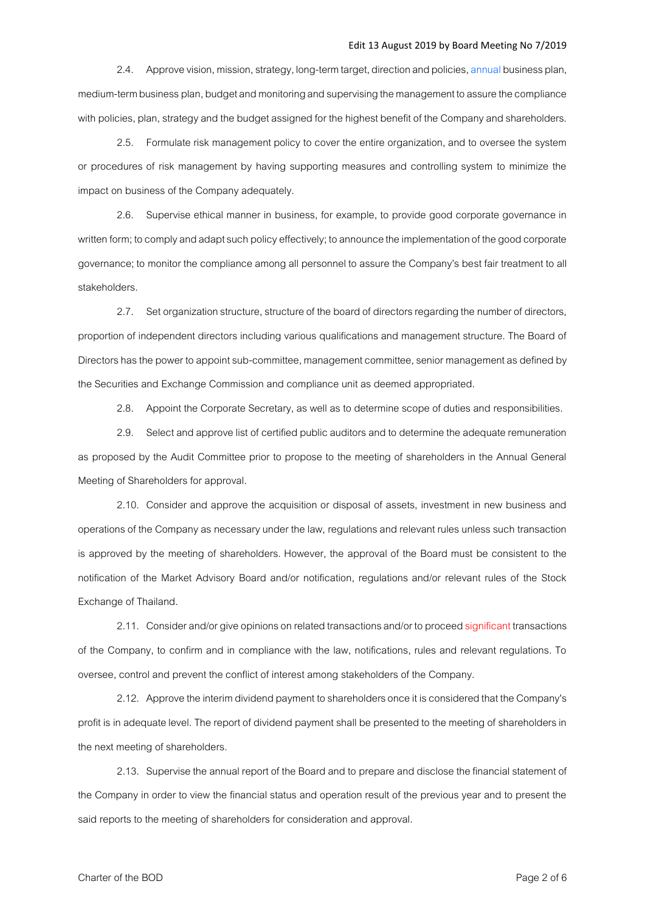2.4. Approve vision, mission, strategy, long-term target, direction and policies, annual business plan, medium-term business plan, budget and monitoring and supervising the management to assure the compliance with policies, plan, strategy and the budget assigned for the highest benefit of the Company and shareholders.

2.5. Formulate risk management policy to cover the entire organization, and to oversee the system or procedures of risk management by having supporting measures and controlling system to minimize the impact on business of the Company adequately.

2.6. Supervise ethical manner in business, for example, to provide good corporate governance in written form; to comply and adapt such policy effectively; to announce the implementation of the good corporate governance; to monitor the compliance among all personnel to assure the Company's best fair treatment to all stakeholders.

2.7. Set organization structure, structure of the board of directors regarding the number of directors, proportion of independent directors including various qualifications and management structure. The Board of Directors has the power to appoint sub-committee, management committee, senior management as defined by the Securities and Exchange Commission and compliance unit as deemed appropriated.

2.8. Appoint the Corporate Secretary, as well as to determine scope of duties and responsibilities.

2.9. Select and approve list of certified public auditors and to determine the adequate remuneration as proposed by the Audit Committee prior to propose to the meeting of shareholders in the Annual General Meeting of Shareholders for approval.

2.10. Consider and approve the acquisition or disposal of assets, investment in new business and operations of the Company as necessary under the law, regulations and relevant rules unless such transaction is approved by the meeting of shareholders. However, the approval of the Board must be consistent to the notification of the Market Advisory Board and/or notification, regulations and/or relevant rules of the Stock Exchange of Thailand.

2.11. Consider and/or give opinions on related transactions and/or to proceed significant transactions of the Company, to confirm and in compliance with the law, notifications, rules and relevant regulations. To oversee, control and prevent the conflict of interest among stakeholders of the Company.

2.12. Approve the interim dividend payment to shareholders once it is considered that the Company's profit is in adequate level. The report of dividend payment shall be presented to the meeting of shareholders in the next meeting of shareholders.

2.13. Supervise the annual report of the Board and to prepare and disclose the financial statement of the Company in order to view the financial status and operation result of the previous year and to present the said reports to the meeting of shareholders for consideration and approval.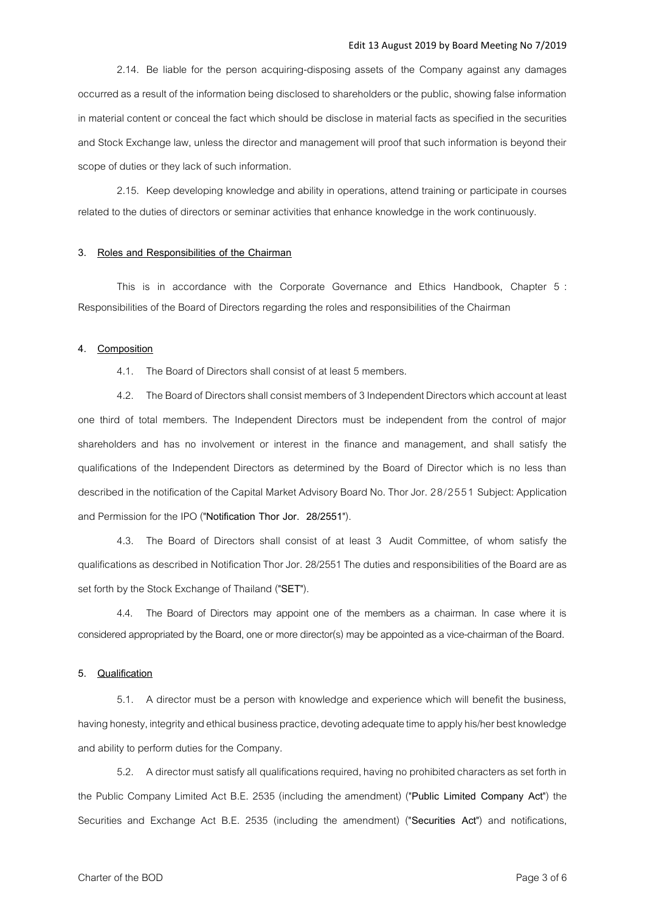2.14. Be liable for the person acquiring-disposing assets of the Company against any damages occurred as a result of the information being disclosed to shareholders or the public, showing false information in material content or conceal the fact which should be disclose in material facts as specified in the securities and Stock Exchange law, unless the director and management will proof that such information is beyond their scope of duties or they lack of such information.

2.15. Keep developing knowledge and ability in operations, attend training or participate in courses related to the duties of directors or seminar activities that enhance knowledge in the work continuously.

#### **3. Roles and Responsibilities of the Chairman**

This is in accordance with the Corporate Governance and Ethics Handbook, Chapter 5 : Responsibilities of the Board of Directors regarding the roles and responsibilities of the Chairman

### **4. Composition**

4.1. The Board of Directors shall consist of at least 5 members.

4.2. The Board of Directors shall consist members of 3Independent Directors which account at least one third of total members. The Independent Directors must be independent from the control of major shareholders and has no involvement or interest in the finance and management, and shall satisfy the qualifications of the Independent Directors as determined by the Board of Director which is no less than described in the notification of the Capital Market Advisory Board No. Thor Jor. 28/2551 Subject: Application and Permission for the IPO ("**Notification Thor Jor. 28/2551**").

4.3. The Board of Directors shall consist of at least 3 Audit Committee, of whom satisfy the qualifications as described in Notification Thor Jor. 28/2551 The duties and responsibilities of the Board are as set forth by the Stock Exchange of Thailand ("**SET**").

4.4. The Board of Directors may appoint one of the members as a chairman. In case where it is considered appropriated by the Board, one or more director(s) may be appointed as a vice-chairman of the Board.

### **5. Qualification**

5.1. A director must be a person with knowledge and experience which will benefit the business, having honesty, integrity and ethical business practice, devoting adequate time to apply his/her best knowledge and ability to perform duties for the Company.

5.2. A director must satisfy all qualifications required, having no prohibited characters as set forth in the Public Company Limited Act B.E. 2535 (including the amendment) ("**Public Limited Company Act**") the Securities and Exchange Act B.E. 2535 (including the amendment) ("**Securities Act**") and notifications,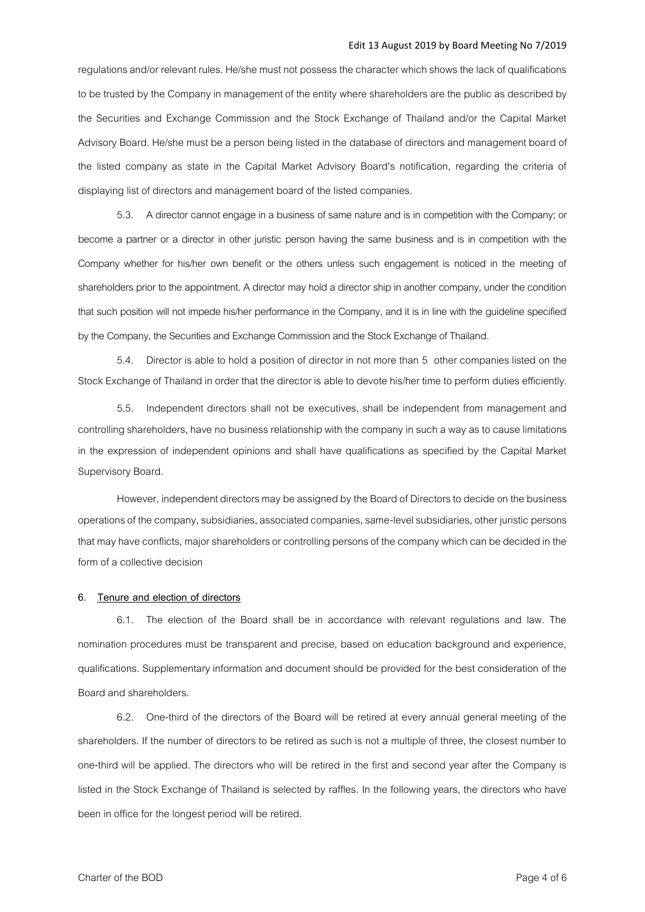regulations and/or relevant rules. He/she must not possess the character which shows the lack of qualifications to be trusted by the Company in management of the entity where shareholders are the public as described by the Securities and Exchange Commission and the Stock Exchange of Thailand and/or the Capital Market Advisory Board. He/she must be a person being listed in the database of directors and management board of the listed company as state in the Capital Market Advisory Board's notification, regarding the criteria of displaying list of directors and management board of the listed companies.

5.3. A director cannot engage in a business of same nature and is in competition with the Company; or become a partner or a director in other juristic person having the same business and is in competition with the Company whether for his/her own benefit or the others unless such engagement is noticed in the meeting of shareholders prior to the appointment. A director may hold a director ship in another company, under the condition that such position will not impede his/her performance in the Company, and it is in line with the guideline specified by the Company, the Securities and Exchange Commission and the Stock Exchange of Thailand.

5.4. Director is able to hold a position of director in not more than 5 other companies listed on the Stock Exchange of Thailand in order that the director is able to devote his/her time to perform duties efficiently.

5.5. Independent directors shall not be executives, shall be independent from management and controlling shareholders, have no business relationship with the company in such a way as to cause limitations in the expression of independent opinions and shall have qualifications as specified by the Capital Market Supervisory Board.

However, independent directors may be assigned by the Board of Directors to decide on the business operations of the company, subsidiaries, associated companies, same-level subsidiaries, other juristic persons that may have conflicts, major shareholders or controlling persons of the company which can be decided in the form of a collective decision

#### **6. Tenure and election of directors**

6.1. The election of the Board shall be in accordance with relevant regulations and law. The nomination procedures must be transparent and precise, based on education background and experience, qualifications. Supplementary information and document should be provided for the best consideration of the Board and shareholders.

6.2. One-third of the directors of the Board will be retired at every annual general meeting of the shareholders. If the number of directors to be retired as such is not a multiple of three, the closest number to one-third will be applied. The directors who will be retired in the first and second year after the Company is listed in the Stock Exchange of Thailand is selected by raffles. In the following years, the directors who have been in office for the longest period will be retired.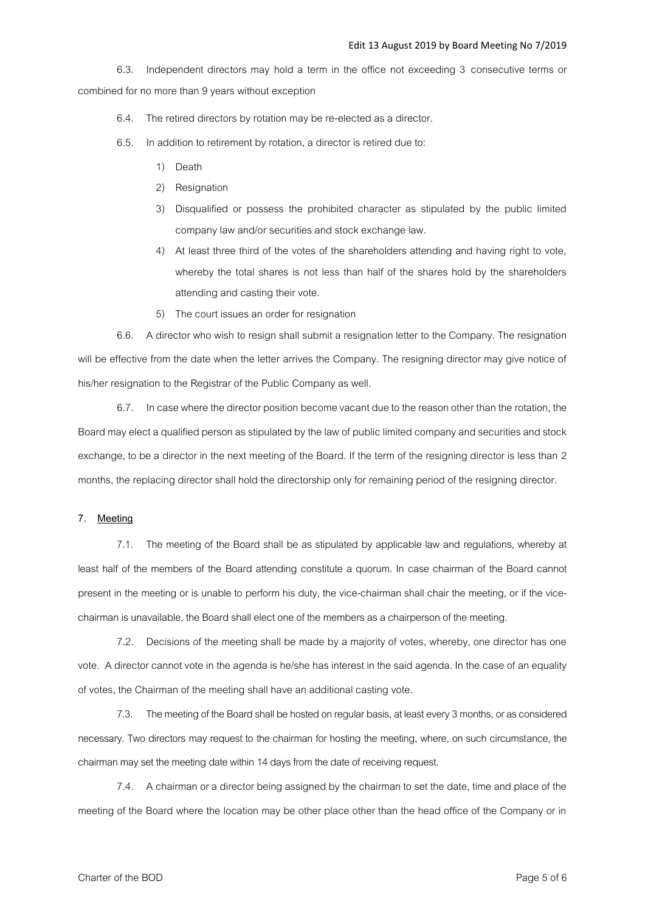6.3. Independent directors may hold a term in the office not exceeding 3 consecutive terms or combined for no more than 9 years without exception

6.4. The retired directors by rotation may be re-elected as a director.

- 6.5. In addition to retirement by rotation, a director is retired due to:
	- 1) Death
	- 2) Resignation
	- 3) Disqualified or possess the prohibited character as stipulated by the public limited company law and/or securities and stock exchange law.
	- 4) At least three third of the votes of the shareholders attending and having right to vote, whereby the total shares is not less than half of the shares hold by the shareholders attending and casting their vote.
	- 5) The court issues an order for resignation

6.6. A director who wish to resign shall submit a resignation letter to the Company. The resignation will be effective from the date when the letter arrives the Company. The resigning director may give notice of his/her resignation to the Registrar of the Public Company as well.

6.7. In case where the director position become vacant due to the reason other than the rotation, the Board may elect a qualified person as stipulated by the law of public limited company and securities and stock exchange, to be a director in the next meeting of the Board. If the term of the resigning director is less than 2 months, the replacing director shall hold the directorship only for remaining period of the resigning director.

### **7. Meeting**

7.1. The meeting of the Board shall be as stipulated by applicable law and regulations, whereby at least half of the members of the Board attending constitute a quorum. In case chairman of the Board cannot present in the meeting or is unable to perform his duty, the vice-chairman shall chair the meeting, or if the vicechairman is unavailable, the Board shall elect one of the members as a chairperson of the meeting.

7.2. Decisions of the meeting shall be made by a majority of votes, whereby, one director has one vote. A director cannot vote in the agenda is he/she has interest in the said agenda. In the case of an equality of votes, the Chairman of the meeting shall have an additional casting vote.

7.3. The meeting of the Board shall be hosted on regular basis, at least every 3 months, or as considered necessary. Two directors may request to the chairman for hosting the meeting, where, on such circumstance, the chairman may set the meeting date within 14 days from the date of receiving request.

7.4. A chairman or a director being assigned by the chairman to set the date, time and place of the meeting of the Board where the location may be other place other than the head office of the Company or in